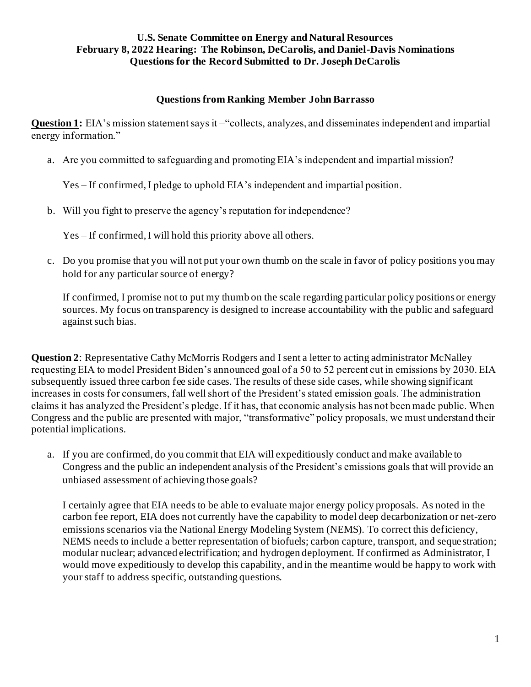# **Questions from Ranking Member John Barrasso**

**Question 1:** EIA's mission statement says it –"collects, analyzes, and disseminates independent and impartial energy information."

a. Are you committed to safeguarding and promoting EIA's independent and impartial mission?

Yes – If confirmed, I pledge to uphold EIA's independent and impartial position.

b. Will you fight to preserve the agency's reputation for independence?

Yes – If confirmed, I will hold this priority above all others.

c. Do you promise that you will not put your own thumb on the scale in favor of policy positions you may hold for any particular source of energy?

If confirmed, I promise not to put my thumb on the scale regarding particular policy positions or energy sources. My focus on transparency is designed to increase accountability with the public and safeguard against such bias.

**Question 2**: Representative Cathy McMorris Rodgers and I sent a letter to acting administrator McNalley requesting EIA to model President Biden's announced goal of a 50 to 52 percent cut in emissions by 2030. EIA subsequently issued three carbon fee side cases. The results of these side cases, while showing significant increases in costs for consumers, fall well short of the President's stated emission goals. The administration claims it has analyzed the President's pledge. If it has, that economic analysis has not been made public. When Congress and the public are presented with major, "transformative" policy proposals, we must understand their potential implications.

a. If you are confirmed, do you commit that EIA will expeditiously conduct and make available to Congress and the public an independent analysis of the President's emissions goals that will provide an unbiased assessment of achieving those goals?

I certainly agree that EIA needs to be able to evaluate major energy policy proposals. As noted in the carbon fee report, EIA does not currently have the capability to model deep decarbonization or net-zero emissions scenarios via the National Energy Modeling System (NEMS). To correct this deficiency, NEMS needs to include a better representation of biofuels; carbon capture, transport, and seque stration; modular nuclear; advanced electrification; and hydrogen deployment. If confirmed as Administrator, I would move expeditiously to develop this capability, and in the meantime would be happy to work with your staff to address specific, outstanding questions.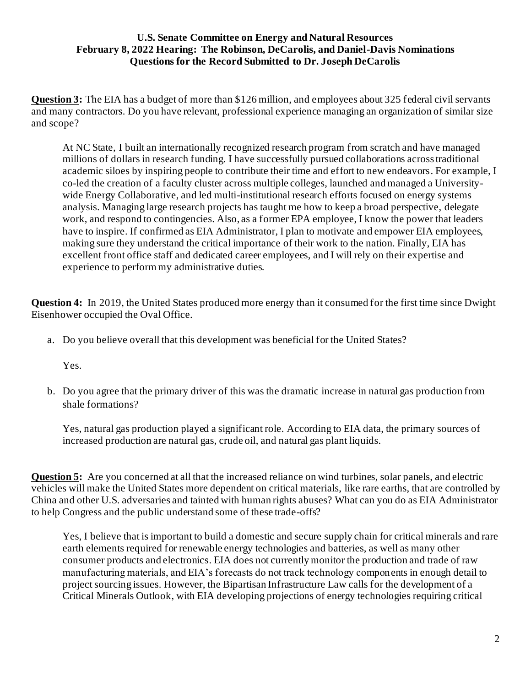**Question 3:** The EIA has a budget of more than \$126 million, and employees about 325 federal civil servants and many contractors. Do you have relevant, professional experience managing an organization of similar size and scope?

At NC State, I built an internationally recognized research program from scratch and have managed millions of dollars in research funding. I have successfully pursued collaborations across traditional academic siloes by inspiring people to contribute their time and effort to new endeavors. For example, I co-led the creation of a faculty cluster across multiple colleges, launched and managed a Universitywide Energy Collaborative, and led multi-institutional research efforts focused on energy systems analysis. Managing large research projects has taught me how to keep a broad perspective, delegate work, and respond to contingencies. Also, as a former EPA employee, I know the power that leaders have to inspire. If confirmed as EIA Administrator, I plan to motivate and empower EIA employees, making sure they understand the critical importance of their work to the nation. Finally, EIA has excellent front office staff and dedicated career employees, and I will rely on their expertise and experience to perform my administrative duties.

**Question 4:** In 2019, the United States produced more energy than it consumed for the first time since Dwight Eisenhower occupied the Oval Office.

a. Do you believe overall that this development was beneficial for the United States?

Yes.

b. Do you agree that the primary driver of this was the dramatic increase in natural gas production from shale formations?

Yes, natural gas production played a significant role. According to EIA data, the primary sources of increased production are natural gas, crude oil, and natural gas plant liquids.

**Question 5:** Are you concerned at all that the increased reliance on wind turbines, solar panels, and electric vehicles will make the United States more dependent on critical materials, like rare earths, that are controlled by China and other U.S. adversaries and tainted with human rights abuses? What can you do as EIA Administrator to help Congress and the public understand some of these trade-offs?

Yes, I believe that is important to build a domestic and secure supply chain for critical minerals and rare earth elements required for renewable energy technologies and batteries, as well as many other consumer products and electronics. EIA does not currently monitor the production and trade of raw manufacturing materials, and EIA's forecasts do not track technology components in enough detail to project sourcing issues. However, the Bipartisan Infrastructure Law calls for the development of a Critical Minerals Outlook, with EIA developing projections of energy technologies requiring critical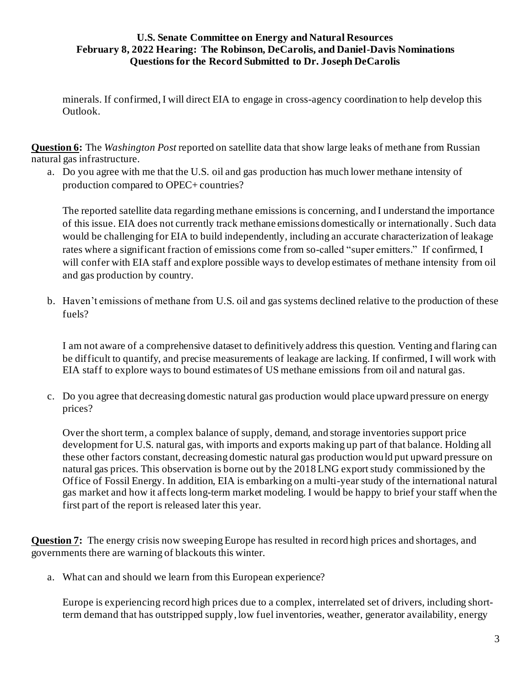minerals. If confirmed, I will direct EIA to engage in cross-agency coordination to help develop this Outlook.

**Question 6:** The *Washington Post* reported on satellite data that show large leaks of methane from Russian natural gas infrastructure.

a. Do you agree with me that the U.S. oil and gas production has much lower methane intensity of production compared to OPEC+ countries?

The reported satellite data regarding methane emissions is concerning, and I understand the importance of this issue. EIA does not currently track methane emissions domestically or internationally. Such data would be challenging for EIA to build independently, including an accurate characterization of leakage rates where a significant fraction of emissions come from so-called "super emitters." If confirmed, I will confer with EIA staff and explore possible ways to develop estimates of methane intensity from oil and gas production by country.

b. Haven't emissions of methane from U.S. oil and gas systems declined relative to the production of these fuels?

I am not aware of a comprehensive dataset to definitively address this question. Venting and flaring can be difficult to quantify, and precise measurements of leakage are lacking. If confirmed, I will work with EIA staff to explore ways to bound estimates of US methane emissions from oil and natural gas.

c. Do you agree that decreasing domestic natural gas production would place upward pressure on energy prices?

Over the short term, a complex balance of supply, demand, and storage inventories support price development for U.S. natural gas, with imports and exports making up part of that balance. Holding all these other factors constant, decreasing domestic natural gas production would put upward pressure on natural gas prices. This observation is borne out by the 2018 LNG export study commissioned by the Office of Fossil Energy. In addition, EIA is embarking on a multi-year study of the international natural gas market and how it affects long-term market modeling. I would be happy to brief your staff when the first part of the report is released later this year.

**Question 7:** The energy crisis now sweeping Europe has resulted in record high prices and shortages, and governments there are warning of blackouts this winter.

a. What can and should we learn from this European experience?

Europe is experiencing record high prices due to a complex, interrelated set of drivers, including shortterm demand that has outstripped supply, low fuel inventories, weather, generator availability, energy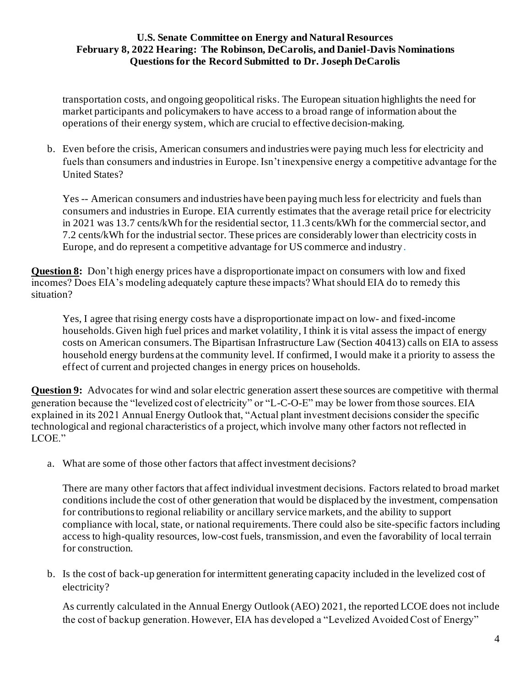transportation costs, and ongoing geopolitical risks. The European situation highlights the need for market participants and policymakers to have access to a broad range of information about the operations of their energy system, which are crucial to effective decision-making.

b. Even before the crisis, American consumers and industries were paying much less for electricity and fuels than consumers and industries in Europe. Isn't inexpensive energy a competitive advantage for the United States?

Yes -- American consumers and industries have been paying much less for electricity and fuels than consumers and industries in Europe. EIA currently estimates that the average retail price for electricity in 2021 was 13.7 cents/kWh for the residential sector, 11.3 cents/kWh for the commercial sector, and 7.2 cents/kWh for the industrial sector. These prices are considerably lower than electricity costs in Europe, and do represent a competitive advantage for US commerce and industry.

**Question 8:** Don't high energy prices have a disproportionate impact on consumers with low and fixed incomes? Does EIA's modeling adequately capture these impacts? What should EIA do to remedy this situation?

Yes, I agree that rising energy costs have a disproportionate impact on low- and fixed-income households. Given high fuel prices and market volatility, I think it is vital assess the impact of energy costs on American consumers. The Bipartisan Infrastructure Law (Section 40413) calls on EIA to assess household energy burdens at the community level. If confirmed, I would make it a priority to assess the effect of current and projected changes in energy prices on households.

**Question 9:** Advocates for wind and solar electric generation assert these sources are competitive with thermal generation because the "levelized cost of electricity" or "L-C-O-E" may be lower from those sources. EIA explained in its 2021 Annual Energy Outlook that, "Actual plant investment decisions consider the specific technological and regional characteristics of a project, which involve many other factors not reflected in LCOE."

a. What are some of those other factors that affect investment decisions?

There are many other factors that affect individual investment decisions. Factors related to broad market conditions include the cost of other generation that would be displaced by the investment, compensation for contributions to regional reliability or ancillary service markets, and the ability to support compliance with local, state, or national requirements. There could also be site-specific factors including access to high-quality resources, low-cost fuels, transmission, and even the favorability of local terrain for construction.

b. Is the cost of back-up generation for intermittent generating capacity included in the levelized cost of electricity?

As currently calculated in the Annual Energy Outlook (AEO) 2021, the reported LCOE does not include the cost of backup generation. However, EIA has developed a "Levelized Avoided Cost of Energy"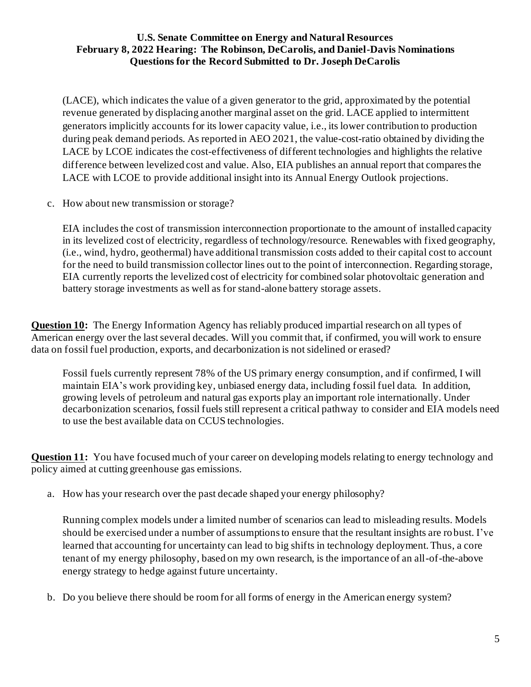(LACE), which indicates the value of a given generator to the grid, approximated by the potential revenue generated by displacing another marginal asset on the grid. LACE applied to intermittent generators implicitly accounts for its lower capacity value, i.e., its lower contribution to production during peak demand periods. As reported in AEO 2021, the value-cost-ratio obtained by dividing the LACE by LCOE indicates the cost-effectiveness of different technologies and highlights the relative difference between levelized cost and value. Also, EIA publishes an annual report that compares the LACE with LCOE to provide additional insight into its Annual Energy Outlook projections.

c. How about new transmission or storage?

EIA includes the cost of transmission interconnection proportionate to the amount of installed capacity in its levelized cost of electricity, regardless of technology/resource. Renewables with fixed geography, (i.e., wind, hydro, geothermal) have additional transmission costs added to their capital cost to account for the need to build transmission collector lines out to the point of interconnection. Regarding storage, EIA currently reports the levelized cost of electricity for combined solar photovoltaic generation and battery storage investments as well as for stand-alone battery storage assets.

**Question 10:** The Energy Information Agency has reliably produced impartial research on all types of American energy over the last several decades. Will you commit that, if confirmed, you will work to ensure data on fossil fuel production, exports, and decarbonization is not sidelined or erased?

Fossil fuels currently represent 78% of the US primary energy consumption, and if confirmed, I will maintain EIA's work providing key, unbiased energy data, including fossil fuel data. In addition, growing levels of petroleum and natural gas exports play an important role internationally. Under decarbonization scenarios, fossil fuels still represent a critical pathway to consider and EIA models need to use the best available data on CCUS technologies.

**Question 11:** You have focused much of your career on developing models relating to energy technology and policy aimed at cutting greenhouse gas emissions.

a. How has your research over the past decade shaped your energy philosophy?

Running complex models under a limited number of scenarios can lead to misleading results. Models should be exercised under a number of assumptions to ensure that the resultant insights are ro bust. I've learned that accounting for uncertainty can lead to big shifts in technology deployment. Thus, a core tenant of my energy philosophy, based on my own research, is the importance of an all-of-the-above energy strategy to hedge against future uncertainty.

b. Do you believe there should be room for all forms of energy in the American energy system?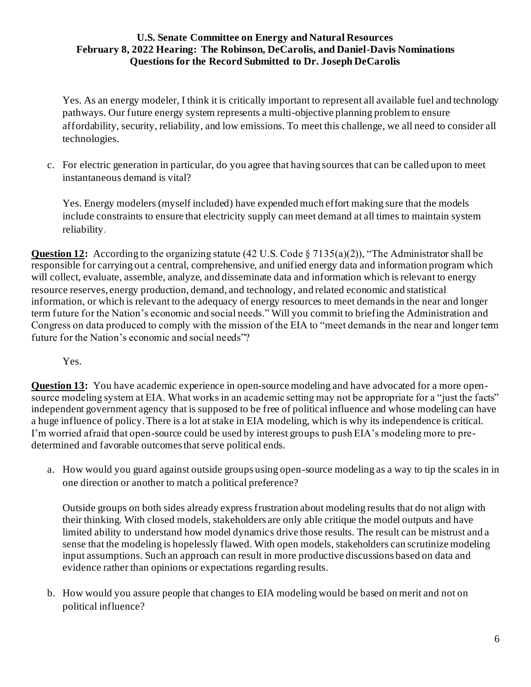Yes. As an energy modeler, I think it is critically important to represent all available fuel and technology pathways. Our future energy system represents a multi-objective planning problem to ensure affordability, security, reliability, and low emissions. To meet this challenge, we all need to consider all technologies.

c. For electric generation in particular, do you agree that having sources that can be called upon to meet instantaneous demand is vital?

Yes. Energy modelers (myself included) have expended much effort making sure that the models include constraints to ensure that electricity supply can meet demand at all times to maintain system reliability.

**Question 12:** According to the organizing statute (42 U.S. Code § 7135(a)(2)), "The Administrator shall be responsible for carrying out a central, comprehensive, and unified energy data and information program which will collect, evaluate, assemble, analyze, and disseminate data and information which is relevant to energy resource reserves, energy production, demand, and technology, and related economic and statistical information, or which is relevant to the adequacy of energy resources to meet demands in the near and longer term future for the Nation's economic and social needs." Will you commit to briefing the Administration and Congress on data produced to comply with the mission of the EIA to "meet demands in the near and longer term future for the Nation's economic and social needs"?

# Yes.

**Question 13:** You have academic experience in open-source modeling and have advocated for a more opensource modeling system at EIA. What works in an academic setting may not be appropriate for a "just the facts" independent government agency that is supposed to be free of political influence and whose modeling can have a huge influence of policy. There is a lot at stake in EIA modeling, which is why its independence is critical. I'm worried afraid that open-source could be used by interest groups to push EIA's modeling more to predetermined and favorable outcomes that serve political ends.

a. How would you guard against outside groups using open-source modeling as a way to tip the scales in in one direction or another to match a political preference?

Outside groups on both sides already express frustration about modeling results that do not align with their thinking. With closed models, stakeholders are only able critique the model outputs and have limited ability to understand how model dynamics drive those results. The result can be mistrust and a sense that the modeling is hopelessly flawed. With open models, stakeholders can scrutinize modeling input assumptions. Such an approach can result in more productive discussions based on data and evidence rather than opinions or expectations regarding results.

b. How would you assure people that changes to EIA modeling would be based on merit and not on political influence?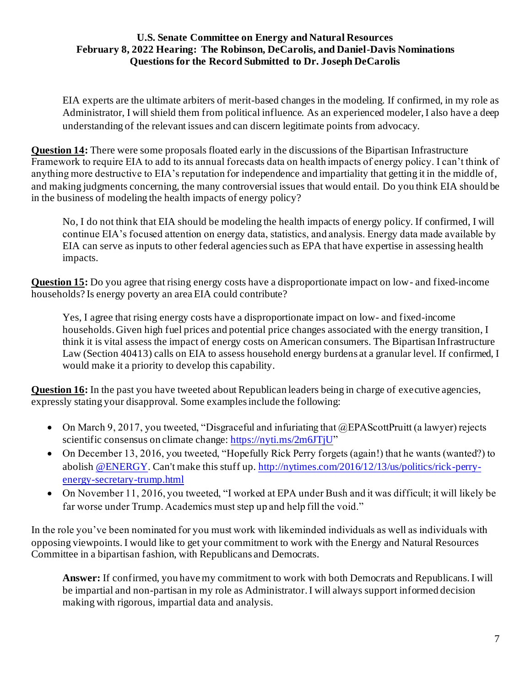EIA experts are the ultimate arbiters of merit-based changes in the modeling. If confirmed, in my role as Administrator, I will shield them from political influence. As an experienced modeler, I also have a deep understanding of the relevant issues and can discern legitimate points from advocacy.

**Question 14:** There were some proposals floated early in the discussions of the Bipartisan Infrastructure Framework to require EIA to add to its annual forecasts data on health impacts of energy policy. I can't think of anything more destructive to EIA's reputation for independence and impartiality that getting it in the middle of, and making judgments concerning, the many controversial issues that would entail. Do you think EIA should be in the business of modeling the health impacts of energy policy?

No, I do not think that EIA should be modeling the health impacts of energy policy. If confirmed, I will continue EIA's focused attention on energy data, statistics, and analysis. Energy data made available by EIA can serve as inputs to other federal agencies such as EPA that have expertise in assessing health impacts.

**Question 15:** Do you agree that rising energy costs have a disproportionate impact on low- and fixed-income households? Is energy poverty an area EIA could contribute?

Yes, I agree that rising energy costs have a disproportionate impact on low- and fixed-income households. Given high fuel prices and potential price changes associated with the energy transition, I think it is vital assess the impact of energy costs on American consumers. The Bipartisan Infrastructure Law (Section 40413) calls on EIA to assess household energy burdens at a granular level. If confirmed, I would make it a priority to develop this capability.

**Question 16:** In the past you have tweeted about Republican leaders being in charge of executive agencies, expressly stating your disapproval. Some examples include the following:

- On March 9, 2017, you tweeted, "Disgraceful and infuriating that @EPAScottPruitt (a lawyer) rejects scientific consensus on climate change[: https://nyti.ms/2m6JTjU](https://t.co/vRwbQAKO8e?amp=1)"
- On December 13, 2016, you tweeted, "Hopefully Rick Perry forgets (again!) that he wants (wanted?) to abolis[h @ENERGY.](https://twitter.com/ENERGY) Can't make this stuff up[. http://nytimes.com/2016/12/13/us/politics/rick-perry](https://t.co/AnpVJMiWno?amp=1)[energy-secretary-trump.html](https://t.co/AnpVJMiWno?amp=1)
- On November 11, 2016, you tweeted, "I worked at EPA under Bush and it was difficult; it will likely be far worse under Trump. Academics must step up and help fill the void."

In the role you've been nominated for you must work with likeminded individuals as well as individuals with opposing viewpoints. I would like to get your commitment to work with the Energy and Natural Resources Committee in a bipartisan fashion, with Republicans and Democrats.

**Answer:** If confirmed, you have my commitment to work with both Democrats and Republicans. I will be impartial and non-partisan in my role as Administrator. I will always support informed decision making with rigorous, impartial data and analysis.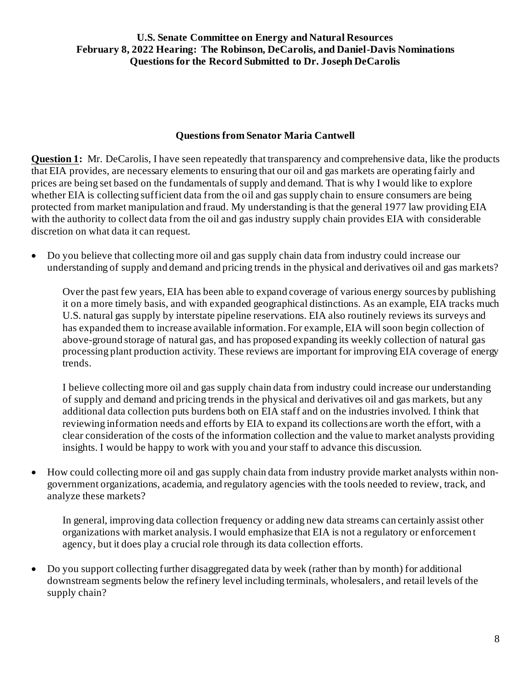# **Questions from Senator Maria Cantwell**

**Question 1:** Mr. DeCarolis, I have seen repeatedly that transparency and comprehensive data, like the products that EIA provides, are necessary elements to ensuring that our oil and gas markets are operating fairly and prices are being set based on the fundamentals of supply and demand. That is why I would like to explore whether EIA is collecting sufficient data from the oil and gas supply chain to ensure consumers are being protected from market manipulation and fraud. My understanding is that the general 1977 law providing EIA with the authority to collect data from the oil and gas industry supply chain provides EIA with considerable discretion on what data it can request.

• Do you believe that collecting more oil and gas supply chain data from industry could increase our understanding of supply and demand and pricing trends in the physical and derivatives oil and gas markets?

Over the past few years, EIA has been able to expand coverage of various energy sources by publishing it on a more timely basis, and with expanded geographical distinctions. As an example, EIA tracks much U.S. natural gas supply by interstate pipeline reservations. EIA also routinely reviews its surveys and has expanded them to increase available information. For example, EIA will soon begin collection of above-ground storage of natural gas, and has proposed expanding its weekly collection of natural gas processing plant production activity. These reviews are important for improving EIA coverage of energy trends.

I believe collecting more oil and gas supply chain data from industry could increase our understanding of supply and demand and pricing trends in the physical and derivatives oil and gas markets, but any additional data collection puts burdens both on EIA staff and on the industries involved. I think that reviewing information needs and efforts by EIA to expand its collections are worth the effort, with a clear consideration of the costs of the information collection and the value to market analysts providing insights. I would be happy to work with you and your staff to advance this discussion.

• How could collecting more oil and gas supply chain data from industry provide market analysts within nongovernment organizations, academia, and regulatory agencies with the tools needed to review, track, and analyze these markets?

In general, improving data collection frequency or adding new data streams can certainly assist other organizations with market analysis. I would emphasize that EIA is not a regulatory or enforcemen t agency, but it does play a crucial role through its data collection efforts.

• Do you support collecting further disaggregated data by week (rather than by month) for additional downstream segments below the refinery level including terminals, wholesalers, and retail levels of the supply chain?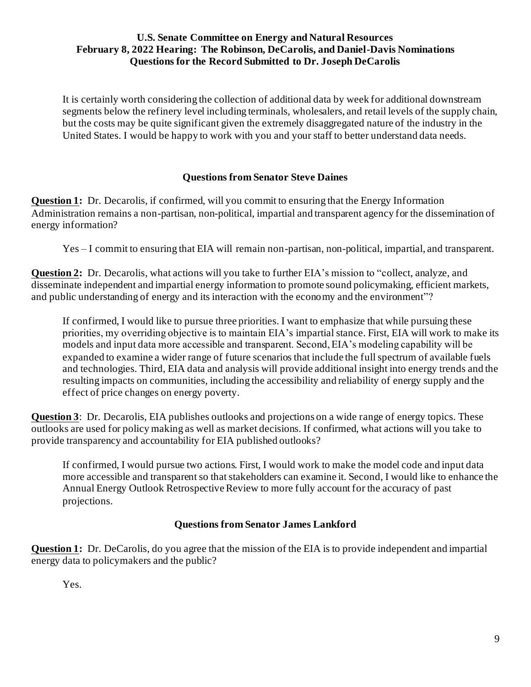It is certainly worth considering the collection of additional data by week for additional downstream segments below the refinery level including terminals, wholesalers, and retail levels of the supply chain, but the costs may be quite significant given the extremely disaggregated nature of the industry in the United States. I would be happy to work with you and your staff to better understand data needs.

# **Questions from Senator Steve Daines**

**Question 1:** Dr. Decarolis, if confirmed, will you commit to ensuring that the Energy Information Administration remains a non-partisan, non-political, impartial and transparent agency for the dissemination of energy information?

Yes – I commit to ensuring that EIA will remain non-partisan, non-political, impartial, and transparent.

**Question 2:** Dr. Decarolis, what actions will you take to further EIA's mission to "collect, analyze, and disseminate independent and impartial energy information to promote sound policymaking, efficient markets, and public understanding of energy and its interaction with the economy and the environment"?

If confirmed, I would like to pursue three priorities. I want to emphasize that while pursuing these priorities, my overriding objective is to maintain EIA's impartial stance. First, EIA will work to make its models and input data more accessible and transparent. Second, EIA's modeling capability will be expanded to examine a wider range of future scenarios that include the full spectrum of available fuels and technologies. Third, EIA data and analysis will provide additional insight into energy trends and the resulting impacts on communities, including the accessibility and reliability of energy supply and the effect of price changes on energy poverty.

**Question 3**: Dr. Decarolis, EIA publishes outlooks and projections on a wide range of energy topics. These outlooks are used for policy making as well as market decisions. If confirmed, what actions will you take to provide transparency and accountability for EIA published outlooks?

If confirmed, I would pursue two actions. First, I would work to make the model code and input data more accessible and transparent so that stakeholders can examine it. Second, I would like to enhance the Annual Energy Outlook Retrospective Review to more fully account for the accuracy of past projections.

#### **Questions from Senator James Lankford**

**Question 1:** Dr. DeCarolis, do you agree that the mission of the EIA is to provide independent and impartial energy data to policymakers and the public?

Yes.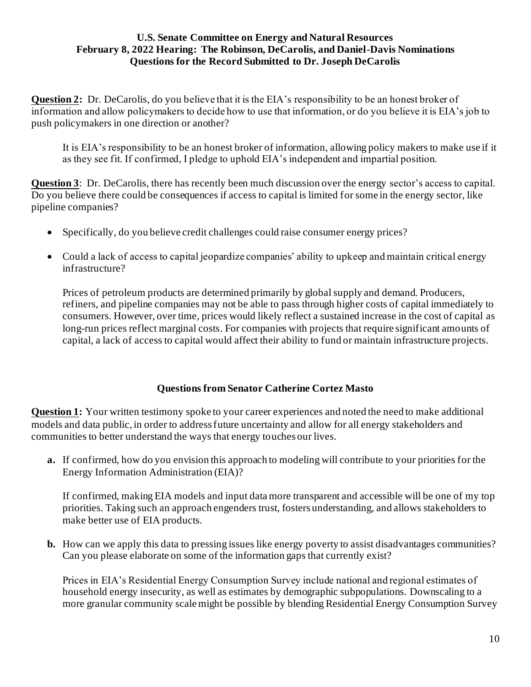**Question 2:** Dr. DeCarolis, do you believe that it is the EIA's responsibility to be an honest broker of information and allow policymakers to decide how to use that information, or do you believe it is EIA's job to push policymakers in one direction or another?

It is EIA's responsibility to be an honest broker of information, allowing policy makers to make use if it as they see fit. If confirmed, I pledge to uphold EIA's independent and impartial position.

**Question 3**: Dr. DeCarolis, there has recently been much discussion over the energy sector's access to capital. Do you believe there could be consequences if access to capital is limited for some in the energy sector, like pipeline companies?

- Specifically, do you believe credit challenges could raise consumer energy prices?
- Could a lack of access to capital jeopardize companies' ability to upkeep and maintain critical energy infrastructure?

Prices of petroleum products are determined primarily by global supply and demand. Producers, refiners, and pipeline companies may not be able to pass through higher costs of capital immediately to consumers. However, over time, prices would likely reflect a sustained increase in the cost of capital as long-run prices reflect marginal costs. For companies with projects that require significant amounts of capital, a lack of access to capital would affect their ability to fund or maintain infrastructure projects.

# **Questions from Senator Catherine Cortez Masto**

**Question 1:** Your written testimony spoke to your career experiences and noted the need to make additional models and data public, in order to address future uncertainty and allow for all energy stakeholders and communities to better understand the ways that energy touches our lives.

**a.** If confirmed, how do you envision this approach to modeling will contribute to your priorities for the Energy Information Administration (EIA)?

If confirmed, making EIA models and input data more transparent and accessible will be one of my top priorities. Taking such an approach engenders trust, fosters understanding, and allows stakeholders to make better use of EIA products.

**b.** How can we apply this data to pressing issues like energy poverty to assist disadvantages communities? Can you please elaborate on some of the information gaps that currently exist?

Prices in EIA's Residential Energy Consumption Survey include national and regional estimates of household energy insecurity, as well as estimates by demographic subpopulations. Downscaling to a more granular community scale might be possible by blending Residential Energy Consumption Survey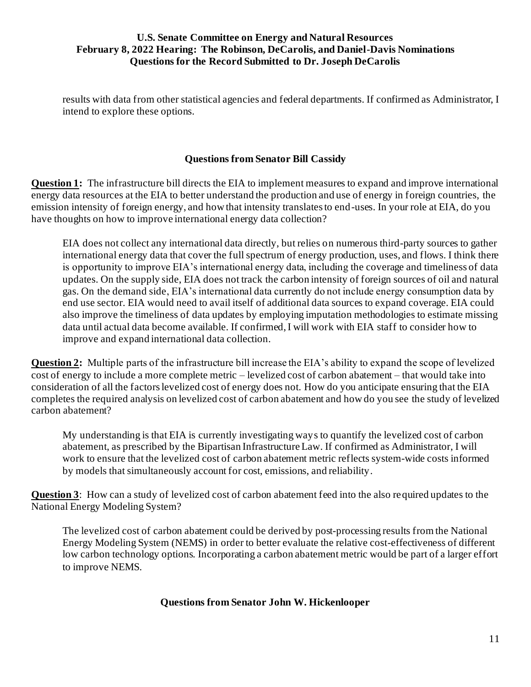results with data from other statistical agencies and federal departments. If confirmed as Administrator, I intend to explore these options.

# **Questions from Senator Bill Cassidy**

**Question 1:** The infrastructure bill directs the EIA to implement measures to expand and improve international energy data resources at the EIA to better understand the production and use of energy in foreign countries, the emission intensity of foreign energy, and how that intensity translates to end-uses. In your role at EIA, do you have thoughts on how to improve international energy data collection?

EIA does not collect any international data directly, but relies on numerous third-party sources to gather international energy data that cover the full spectrum of energy production, uses, and flows. I think there is opportunity to improve EIA's international energy data, including the coverage and timeliness of data updates. On the supply side, EIA does not track the carbon intensity of foreign sources of oil and natural gas. On the demand side, EIA's international data currently do not include energy consumption data by end use sector. EIA would need to avail itself of additional data sources to expand coverage. EIA could also improve the timeliness of data updates by employing imputation methodologies to estimate missing data until actual data become available. If confirmed, I will work with EIA staff to consider how to improve and expand international data collection.

**Question 2:** Multiple parts of the infrastructure bill increase the EIA's ability to expand the scope of levelized cost of energy to include a more complete metric – levelized cost of carbon abatement – that would take into consideration of all the factors levelized cost of energy does not. How do you anticipate ensuring that the EIA completes the required analysis on levelized cost of carbon abatement and how do you see the study of levelized carbon abatement?

My understanding is that EIA is currently investigating ways to quantify the levelized cost of carbon abatement, as prescribed by the Bipartisan Infrastructure Law. If confirmed as Administrator, I will work to ensure that the levelized cost of carbon abatement metric reflects system-wide costs informed by models that simultaneously account for cost, emissions, and reliability.

**Question 3**: How can a study of levelized cost of carbon abatement feed into the also required updates to the National Energy Modeling System?

The levelized cost of carbon abatement could be derived by post-processing results from the National Energy Modeling System (NEMS) in order to better evaluate the relative cost-effectiveness of different low carbon technology options. Incorporating a carbon abatement metric would be part of a larger effort to improve NEMS.

# **Questions from Senator John W. Hickenlooper**